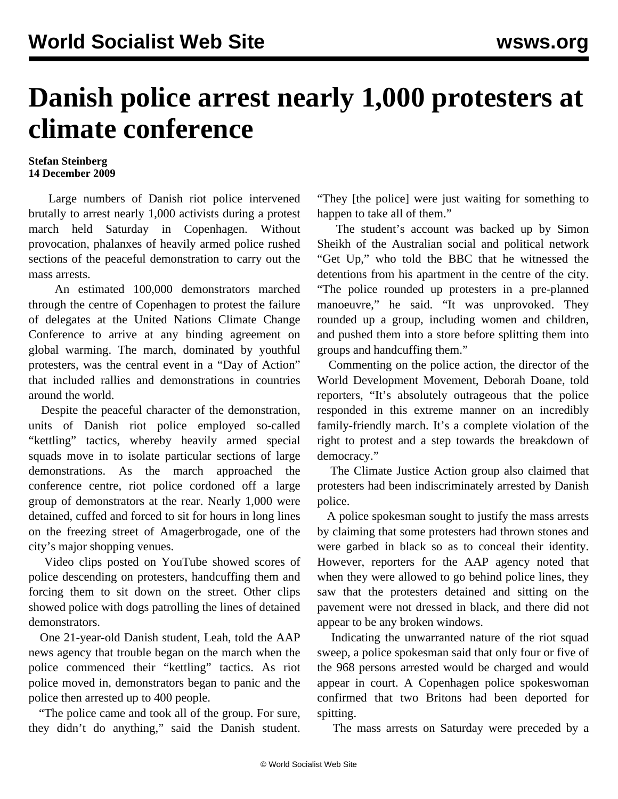## **Danish police arrest nearly 1,000 protesters at climate conference**

## **Stefan Steinberg 14 December 2009**

 Large numbers of Danish riot police intervened brutally to arrest nearly 1,000 activists during a protest march held Saturday in Copenhagen. Without provocation, phalanxes of heavily armed police rushed sections of the peaceful demonstration to carry out the mass arrests.

 An estimated 100,000 demonstrators marched through the centre of Copenhagen to protest the failure of delegates at the United Nations Climate Change Conference to arrive at any binding agreement on global warming. The march, dominated by youthful protesters, was the central event in a "Day of Action" that included rallies and demonstrations in countries around the world.

 Despite the peaceful character of the demonstration, units of Danish riot police employed so-called "kettling" tactics, whereby heavily armed special squads move in to isolate particular sections of large demonstrations. As the march approached the conference centre, riot police cordoned off a large group of demonstrators at the rear. Nearly 1,000 were detained, cuffed and forced to sit for hours in long lines on the freezing street of Amagerbrogade, one of the city's major shopping venues.

 Video clips posted on YouTube showed scores of police descending on protesters, handcuffing them and forcing them to sit down on the street. Other clips showed police with dogs patrolling the lines of detained demonstrators.

 One 21-year-old Danish student, Leah, told the AAP news agency that trouble began on the march when the police commenced their "kettling" tactics. As riot police moved in, demonstrators began to panic and the police then arrested up to 400 people.

 "The police came and took all of the group. For sure, they didn't do anything," said the Danish student. "They [the police] were just waiting for something to happen to take all of them."

 The student's account was backed up by Simon Sheikh of the Australian social and political network "Get Up," who told the BBC that he witnessed the detentions from his apartment in the centre of the city. "The police rounded up protesters in a pre-planned manoeuvre," he said. "It was unprovoked. They rounded up a group, including women and children, and pushed them into a store before splitting them into groups and handcuffing them."

 Commenting on the police action, the director of the World Development Movement, Deborah Doane, told reporters, "It's absolutely outrageous that the police responded in this extreme manner on an incredibly family-friendly march. It's a complete violation of the right to protest and a step towards the breakdown of democracy."

 The Climate Justice Action group also claimed that protesters had been indiscriminately arrested by Danish police.

 A police spokesman sought to justify the mass arrests by claiming that some protesters had thrown stones and were garbed in black so as to conceal their identity. However, reporters for the AAP agency noted that when they were allowed to go behind police lines, they saw that the protesters detained and sitting on the pavement were not dressed in black, and there did not appear to be any broken windows.

 Indicating the unwarranted nature of the riot squad sweep, a police spokesman said that only four or five of the 968 persons arrested would be charged and would appear in court. A Copenhagen police spokeswoman confirmed that two Britons had been deported for spitting.

The mass arrests on Saturday were preceded by a